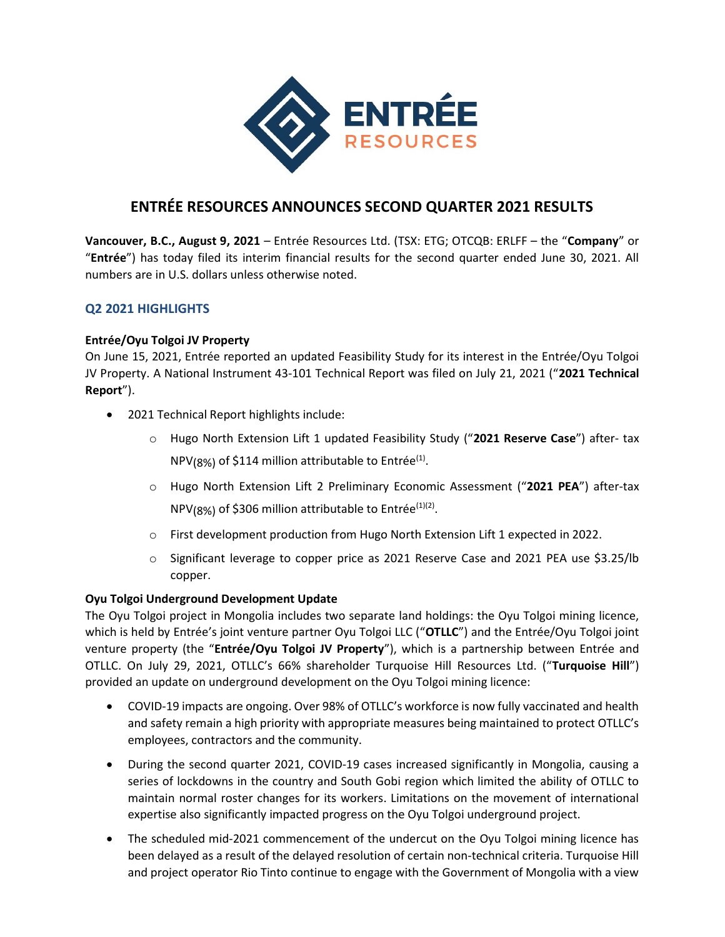

# ENTRÉE RESOURCES ANNOUNCES SECOND QUARTER 2021 RESULTS

Vancouver, B.C., August 9, 2021 – Entrée Resources Ltd. (TSX: ETG; OTCQB: ERLFF – the "Company" or "Entrée") has today filed its interim financial results for the second quarter ended June 30, 2021. All numbers are in U.S. dollars unless otherwise noted.

# Q2 2021 HIGHLIGHTS

### Entrée/Oyu Tolgoi JV Property

On June 15, 2021, Entrée reported an updated Feasibility Study for its interest in the Entrée/Oyu Tolgoi JV Property. A National Instrument 43-101 Technical Report was filed on July 21, 2021 ("2021 Technical Report").

- 2021 Technical Report highlights include:
	- o Hugo North Extension Lift 1 updated Feasibility Study ("2021 Reserve Case") after- tax NPV(8%) of \$114 million attributable to Entrée<sup>(1)</sup>.
	- o Hugo North Extension Lift 2 Preliminary Economic Assessment ("2021 PEA") after-tax  $NPV_{(8\%)}$  of \$306 million attributable to Entrée $^{(1)(2)}$ .
	- $\circ$  First development production from Hugo North Extension Lift 1 expected in 2022.
	- o Significant leverage to copper price as 2021 Reserve Case and 2021 PEA use \$3.25/lb copper.

# Oyu Tolgoi Underground Development Update

The Oyu Tolgoi project in Mongolia includes two separate land holdings: the Oyu Tolgoi mining licence, which is held by Entrée's joint venture partner Oyu Tolgoi LLC ("OTLLC") and the Entrée/Oyu Tolgoi joint venture property (the "Entrée/Oyu Tolgoi JV Property"), which is a partnership between Entrée and OTLLC. On July 29, 2021, OTLLC's 66% shareholder Turquoise Hill Resources Ltd. ("Turquoise Hill") provided an update on underground development on the Oyu Tolgoi mining licence:

- COVID-19 impacts are ongoing. Over 98% of OTLLC's workforce is now fully vaccinated and health and safety remain a high priority with appropriate measures being maintained to protect OTLLC's employees, contractors and the community.
- During the second quarter 2021, COVID-19 cases increased significantly in Mongolia, causing a series of lockdowns in the country and South Gobi region which limited the ability of OTLLC to maintain normal roster changes for its workers. Limitations on the movement of international expertise also significantly impacted progress on the Oyu Tolgoi underground project.
- The scheduled mid-2021 commencement of the undercut on the Oyu Tolgoi mining licence has been delayed as a result of the delayed resolution of certain non-technical criteria. Turquoise Hill and project operator Rio Tinto continue to engage with the Government of Mongolia with a view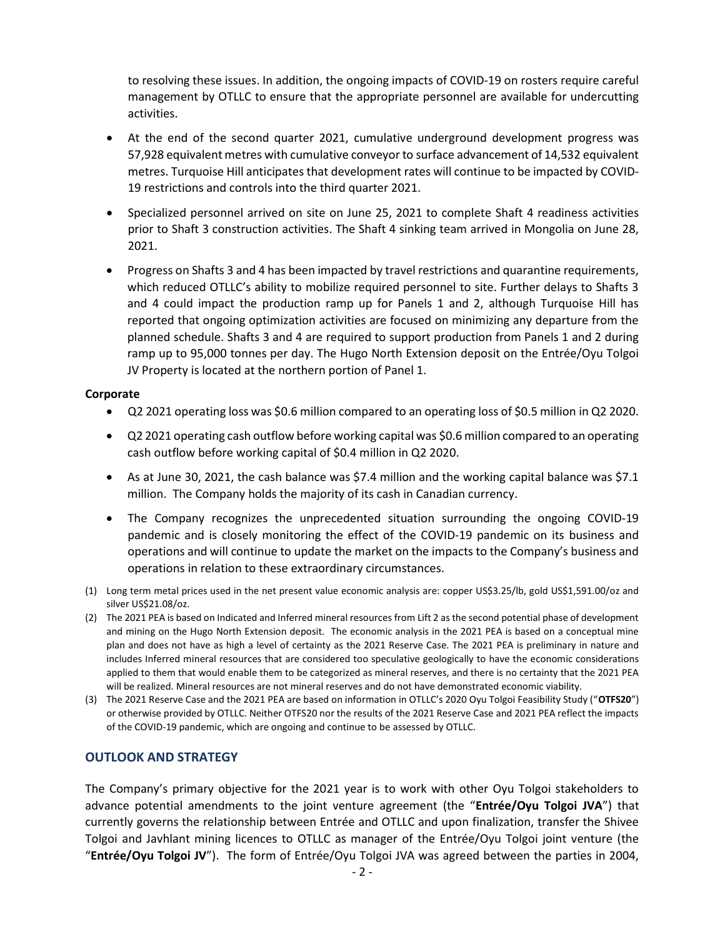to resolving these issues. In addition, the ongoing impacts of COVID-19 on rosters require careful management by OTLLC to ensure that the appropriate personnel are available for undercutting activities.

- At the end of the second quarter 2021, cumulative underground development progress was 57,928 equivalent metres with cumulative conveyor to surface advancement of 14,532 equivalent metres. Turquoise Hill anticipates that development rates will continue to be impacted by COVID-19 restrictions and controls into the third quarter 2021.
- Specialized personnel arrived on site on June 25, 2021 to complete Shaft 4 readiness activities prior to Shaft 3 construction activities. The Shaft 4 sinking team arrived in Mongolia on June 28, 2021.
- Progress on Shafts 3 and 4 has been impacted by travel restrictions and quarantine requirements, which reduced OTLLC's ability to mobilize required personnel to site. Further delays to Shafts 3 and 4 could impact the production ramp up for Panels 1 and 2, although Turquoise Hill has reported that ongoing optimization activities are focused on minimizing any departure from the planned schedule. Shafts 3 and 4 are required to support production from Panels 1 and 2 during ramp up to 95,000 tonnes per day. The Hugo North Extension deposit on the Entrée/Oyu Tolgoi JV Property is located at the northern portion of Panel 1.

#### Corporate

- Q2 2021 operating loss was \$0.6 million compared to an operating loss of \$0.5 million in Q2 2020.
- Q2 2021 operating cash outflow before working capital was \$0.6 million compared to an operating cash outflow before working capital of \$0.4 million in Q2 2020.
- As at June 30, 2021, the cash balance was \$7.4 million and the working capital balance was \$7.1 million. The Company holds the majority of its cash in Canadian currency.
- The Company recognizes the unprecedented situation surrounding the ongoing COVID-19 pandemic and is closely monitoring the effect of the COVID-19 pandemic on its business and operations and will continue to update the market on the impacts to the Company's business and operations in relation to these extraordinary circumstances.
- (1) Long term metal prices used in the net present value economic analysis are: copper US\$3.25/lb, gold US\$1,591.00/oz and silver US\$21.08/oz.
- (2) The 2021 PEA is based on Indicated and Inferred mineral resources from Lift 2 as the second potential phase of development and mining on the Hugo North Extension deposit. The economic analysis in the 2021 PEA is based on a conceptual mine plan and does not have as high a level of certainty as the 2021 Reserve Case. The 2021 PEA is preliminary in nature and includes Inferred mineral resources that are considered too speculative geologically to have the economic considerations applied to them that would enable them to be categorized as mineral reserves, and there is no certainty that the 2021 PEA will be realized. Mineral resources are not mineral reserves and do not have demonstrated economic viability.
- (3) The 2021 Reserve Case and the 2021 PEA are based on information in OTLLC's 2020 Oyu Tolgoi Feasibility Study ("OTFS20") or otherwise provided by OTLLC. Neither OTFS20 nor the results of the 2021 Reserve Case and 2021 PEA reflect the impacts of the COVID-19 pandemic, which are ongoing and continue to be assessed by OTLLC.

# OUTLOOK AND STRATEGY

The Company's primary objective for the 2021 year is to work with other Oyu Tolgoi stakeholders to advance potential amendments to the joint venture agreement (the "Entrée/Oyu Tolgoi JVA") that currently governs the relationship between Entrée and OTLLC and upon finalization, transfer the Shivee Tolgoi and Javhlant mining licences to OTLLC as manager of the Entrée/Oyu Tolgoi joint venture (the "Entrée/Oyu Tolgoi JV"). The form of Entrée/Oyu Tolgoi JVA was agreed between the parties in 2004,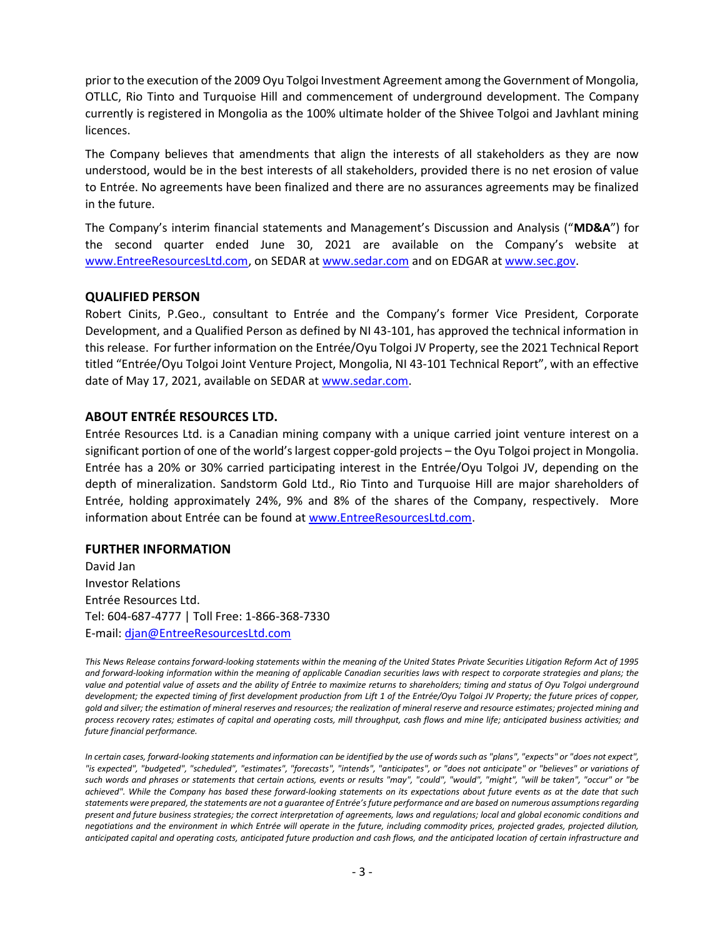prior to the execution of the 2009 Oyu Tolgoi Investment Agreement among the Government of Mongolia, OTLLC, Rio Tinto and Turquoise Hill and commencement of underground development. The Company currently is registered in Mongolia as the 100% ultimate holder of the Shivee Tolgoi and Javhlant mining licences.

The Company believes that amendments that align the interests of all stakeholders as they are now understood, would be in the best interests of all stakeholders, provided there is no net erosion of value to Entrée. No agreements have been finalized and there are no assurances agreements may be finalized in the future.

The Company's interim financial statements and Management's Discussion and Analysis ("MD&A") for the second quarter ended June 30, 2021 are available on the Company's website at www.EntreeResourcesLtd.com, on SEDAR at www.sedar.com and on EDGAR at www.sec.gov.

### QUALIFIED PERSON

Robert Cinits, P.Geo., consultant to Entrée and the Company's former Vice President, Corporate Development, and a Qualified Person as defined by NI 43-101, has approved the technical information in this release. For further information on the Entrée/Oyu Tolgoi JV Property, see the 2021 Technical Report titled "Entrée/Oyu Tolgoi Joint Venture Project, Mongolia, NI 43-101 Technical Report", with an effective date of May 17, 2021, available on SEDAR at www.sedar.com.

### ABOUT ENTRÉE RESOURCES LTD.

Entrée Resources Ltd. is a Canadian mining company with a unique carried joint venture interest on a significant portion of one of the world's largest copper-gold projects – the Oyu Tolgoi project in Mongolia. Entrée has a 20% or 30% carried participating interest in the Entrée/Oyu Tolgoi JV, depending on the depth of mineralization. Sandstorm Gold Ltd., Rio Tinto and Turquoise Hill are major shareholders of Entrée, holding approximately 24%, 9% and 8% of the shares of the Company, respectively. More information about Entrée can be found at www.EntreeResourcesLtd.com.

# FURTHER INFORMATION

David Jan Investor Relations Entrée Resources Ltd. Tel: 604-687-4777 | Toll Free: 1-866-368-7330 E-mail: djan@EntreeResourcesLtd.com

This News Release contains forward-looking statements within the meaning of the United States Private Securities Litigation Reform Act of 1995 and forward-looking information within the meaning of applicable Canadian securities laws with respect to corporate strategies and plans; the value and potential value of assets and the ability of Entrée to maximize returns to shareholders; timing and status of Oyu Tolgoi underground development; the expected timing of first development production from Lift 1 of the Entrée/Oyu Tolgoi JV Property; the future prices of copper, gold and silver; the estimation of mineral reserves and resources; the realization of mineral reserve and resource estimates; projected mining and process recovery rates; estimates of capital and operating costs, mill throughput, cash flows and mine life; anticipated business activities; and future financial performance.

In certain cases, forward-looking statements and information can be identified by the use of words such as "plans", "expects" or "does not expect", "is expected", "budgeted", "scheduled", "estimates", "forecasts", "intends", "anticipates", or "does not anticipate" or "believes" or variations of such words and phrases or statements that certain actions, events or results "may", "could", "would", "might", "will be taken", "occur" or "be achieved". While the Company has based these forward-looking statements on its expectations about future events as at the date that such statements were prepared, the statements are not a guarantee of Entrée's future performance and are based on numerous assumptions regarding present and future business strategies; the correct interpretation of agreements, laws and regulations; local and global economic conditions and negotiations and the environment in which Entrée will operate in the future, including commodity prices, projected grades, projected dilution, anticipated capital and operating costs, anticipated future production and cash flows, and the anticipated location of certain infrastructure and